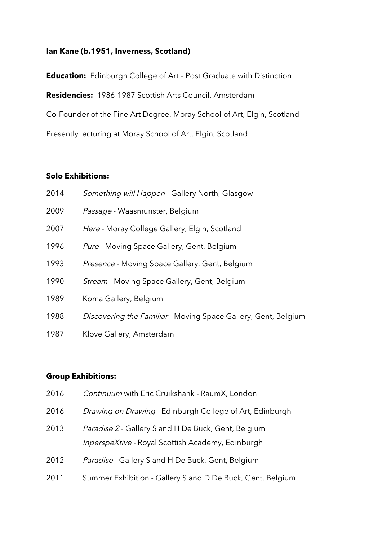## **Ian Kane (b.1951, Inverness, Scotland)**

**Education:** Edinburgh College of Art – Post Graduate with Distinction **Residencies:** 1986-1987 Scottish Arts Council, Amsterdam Co-Founder of the Fine Art Degree, Moray School of Art, Elgin, Scotland Presently lecturing at Moray School of Art, Elgin, Scotland

## **Solo Exhibitions:**

| 2014 | Something will Happen - Gallery North, Glasgow                 |
|------|----------------------------------------------------------------|
| 2009 | Passage - Waasmunster, Belgium                                 |
| 2007 | Here - Moray College Gallery, Elgin, Scotland                  |
| 1996 | Pure - Moving Space Gallery, Gent, Belgium                     |
| 1993 | Presence - Moving Space Gallery, Gent, Belgium                 |
| 1990 | Stream - Moving Space Gallery, Gent, Belgium                   |
| 1989 | Koma Gallery, Belgium                                          |
| 1988 | Discovering the Familiar - Moving Space Gallery, Gent, Belgium |
| 1987 | Klove Gallery, Amsterdam                                       |

## **Group Exhibitions:**

| 2016 | Continuum with Eric Cruikshank - RaumX, London                                                                  |
|------|-----------------------------------------------------------------------------------------------------------------|
| 2016 | Drawing on Drawing - Edinburgh College of Art, Edinburgh                                                        |
| 2013 | Paradise 2 - Gallery S and H De Buck, Gent, Belgium<br><i>InperspeXtive</i> - Royal Scottish Academy, Edinburgh |
| 2012 | Paradise - Gallery S and H De Buck, Gent, Belgium                                                               |
| 2011 | Summer Exhibition - Gallery S and D De Buck, Gent, Belgium                                                      |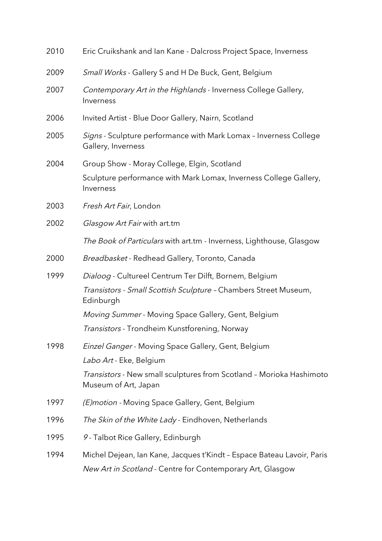| 2010 | Eric Cruikshank and Ian Kane - Dalcross Project Space, Inverness                             |
|------|----------------------------------------------------------------------------------------------|
| 2009 | Small Works - Gallery S and H De Buck, Gent, Belgium                                         |
| 2007 | Contemporary Art in the Highlands - Inverness College Gallery,<br>Inverness                  |
| 2006 | Invited Artist - Blue Door Gallery, Nairn, Scotland                                          |
| 2005 | Signs - Sculpture performance with Mark Lomax - Inverness College<br>Gallery, Inverness      |
| 2004 | Group Show - Moray College, Elgin, Scotland                                                  |
|      | Sculpture performance with Mark Lomax, Inverness College Gallery,<br>Inverness               |
| 2003 | Fresh Art Fair, London                                                                       |
| 2002 | Glasgow Art Fair with art.tm                                                                 |
|      | The Book of Particulars with art.tm - Inverness, Lighthouse, Glasgow                         |
| 2000 | Breadbasket - Redhead Gallery, Toronto, Canada                                               |
| 1999 | Dialoog - Cultureel Centrum Ter Dilft, Bornem, Belgium                                       |
|      | Transistors - Small Scottish Sculpture - Chambers Street Museum,<br>Edinburgh                |
|      | Moving Summer - Moving Space Gallery, Gent, Belgium                                          |
|      | Transistors - Trondheim Kunstforening, Norway                                                |
| 1998 | Einzel Ganger - Moving Space Gallery, Gent, Belgium                                          |
|      | Labo Art - Eke, Belgium                                                                      |
|      | Transistors - New small sculptures from Scotland - Morioka Hashimoto<br>Museum of Art, Japan |
| 1997 | (E) motion - Moving Space Gallery, Gent, Belgium                                             |
| 1996 | The Skin of the White Lady - Eindhoven, Netherlands                                          |
| 1995 | 9 - Talbot Rice Gallery, Edinburgh                                                           |
| 1994 | Michel Dejean, Ian Kane, Jacques t'Kindt - Espace Bateau Lavoir, Paris                       |
|      | New Art in Scotland - Centre for Contemporary Art, Glasgow                                   |
|      |                                                                                              |